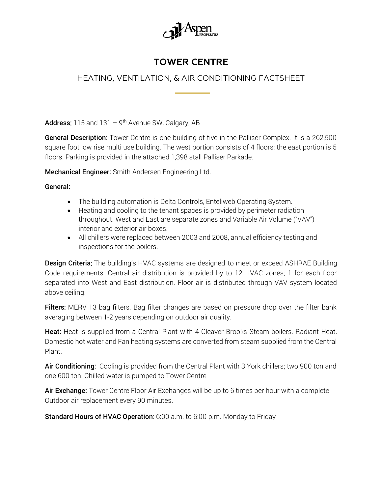

## **TOWER CENTRE**

## HEATING, VENTILATION, & AIR CONDITIONING FACTSHEET

Address: 115 and 131  $-$  9<sup>th</sup> Avenue SW, Calgary, AB

General Description: Tower Centre is one building of five in the Palliser Complex. It is a 262,500 square foot low rise multi use building. The west portion consists of 4 floors: the east portion is 5 floors. Parking is provided in the attached 1,398 stall Palliser Parkade.

Mechanical Engineer: Smith Andersen Engineering Ltd.

## General:

- The building automation is Delta Controls, Enteliweb Operating System.
- Heating and cooling to the tenant spaces is provided by perimeter radiation throughout. West and East are separate zones and Variable Air Volume ("VAV") interior and exterior air boxes.
- All chillers were replaced between 2003 and 2008, annual efficiency testing and inspections for the boilers.

**Design Criteria:** The building's HVAC systems are designed to meet or exceed ASHRAE Building Code requirements. Central air distribution is provided by to 12 HVAC zones; 1 for each floor separated into West and East distribution. Floor air is distributed through VAV system located above ceiling.

Filters: MERV 13 bag filters. Bag filter changes are based on pressure drop over the filter bank averaging between 1-2 years depending on outdoor air quality.

Heat: Heat is supplied from a Central Plant with 4 Cleaver Brooks Steam boilers. Radiant Heat, Domestic hot water and Fan heating systems are converted from steam supplied from the Central Plant.

Air Conditioning: Cooling is provided from the Central Plant with 3 York chillers; two 900 ton and one 600 ton. Chilled water is pumped to Tower Centre

Air Exchange: Tower Centre Floor Air Exchanges will be up to 6 times per hour with a complete Outdoor air replacement every 90 minutes.

Standard Hours of HVAC Operation: 6:00 a.m. to 6:00 p.m. Monday to Friday